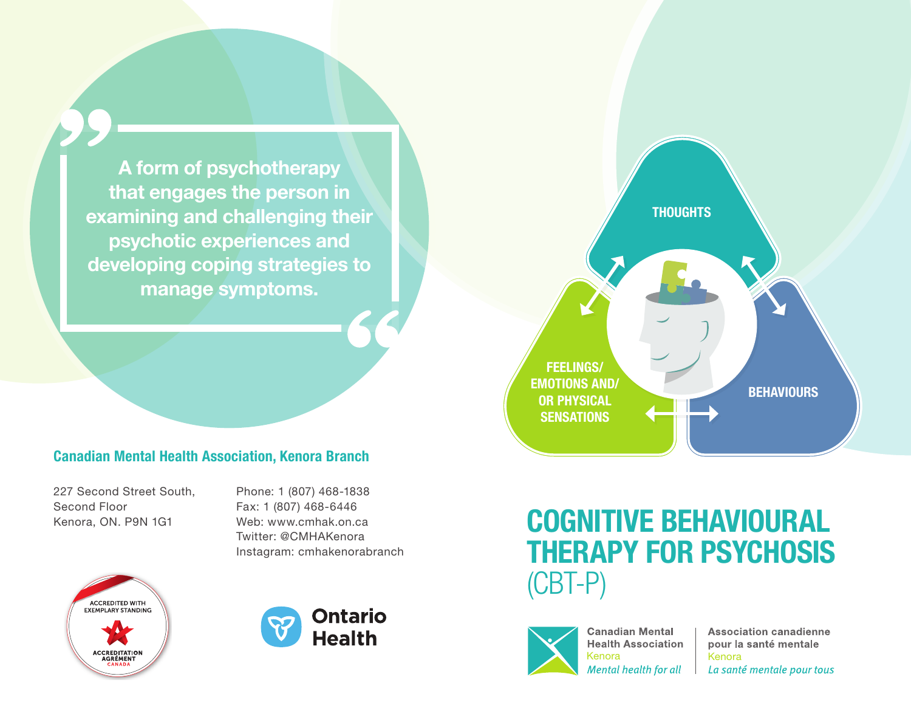A form of psychotherapy that engages the person in examining and challenging their psychotic experiences and developing coping strategies to manage symptoms.



227 Second Street South, Second Floor Kenora, ON. P9N 1G1

Phone: 1 (807) 468-1838 Fax: 1 (807) 468-6446 Web: www.cmhak.on.ca Twitter: @CMHAKenora Instagram: cmhakenorabranch







## COGNITIVE BEHAVIOURAL THERAPY FOR PSYCHOSIS (CBT-P)



**Canadian Mental Health Association** Kenora | Kenora<br>
Mental health for all | La sante

**Association canadienne** pour la santé mentale La santé mentale pour tous